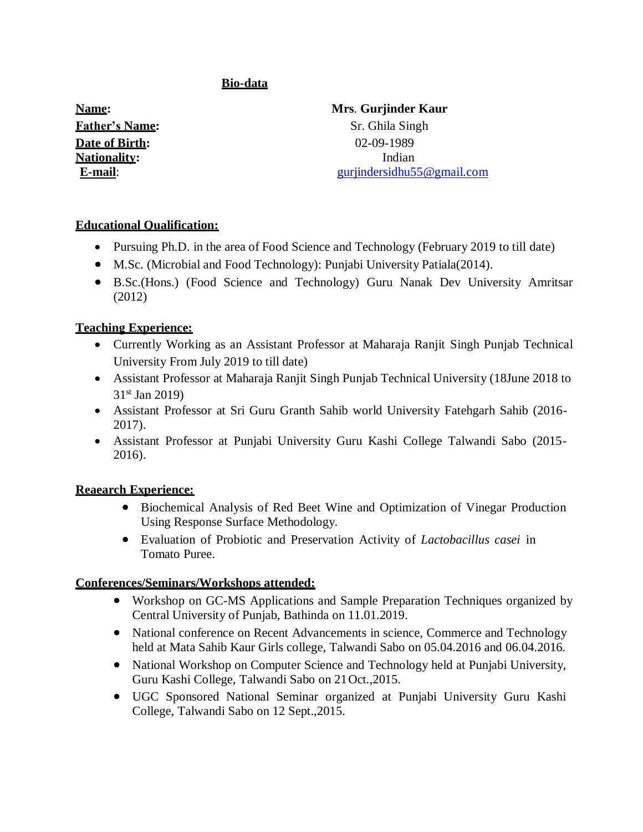## **Bio-data**

**Date of Birth:** 02-09-1989 **Nationality:** Indian

# **Name: Mrs**. **Gurjinder Kaur Father's Name:** Sr. Ghila Singh **E-mail**: [gurjindersidhu55@gmail.com](mailto:gurjindersidhu55@gmail.com)

## **Educational Qualification:**

- Pursuing Ph.D. in the area of Food Science and Technology (February 2019 to till date)
- M.Sc. (Microbial and Food Technology): Punjabi University Patiala(2014).
- B.Sc.(Hons.) (Food Science and Technology) Guru Nanak Dev University Amritsar (2012)

#### **Teaching Experience:**

- Currently Working as an Assistant Professor at Maharaja Ranjit Singh Punjab Technical University From July 2019 to till date)
- Assistant Professor at Maharaja Ranjit Singh Punjab Technical University (18June 2018 to  $31<sup>st</sup>$  Jan 2019)
- Assistant Professor at Sri Guru Granth Sahib world University Fatehgarh Sahib (2016- 2017).
- Assistant Professor at Punjabi University Guru Kashi College Talwandi Sabo (2015- 2016).

## **Reaearch Experience:**

- Biochemical Analysis of Red Beet Wine and Optimization of Vinegar Production Using Response Surface Methodology.
- Evaluation of Probiotic and Preservation Activity of *Lactobacillus casei* in Tomato Puree.

## **Conferences/Seminars/Workshops attended:**

- Workshop on GC-MS Applications and Sample Preparation Techniques organized by Central University of Punjab, Bathinda on 11.01.2019.
- National conference on Recent Advancements in science, Commerce and Technology held at Mata Sahib Kaur Girls college, Talwandi Sabo on 05.04.2016 and 06.04.2016.
- National Workshop on Computer Science and Technology held at Punjabi University, Guru Kashi College, Talwandi Sabo on 21Oct.,2015.
- UGC Sponsored National Seminar organized at Punjabi University Guru Kashi College, Talwandi Sabo on 12 Sept.,2015.